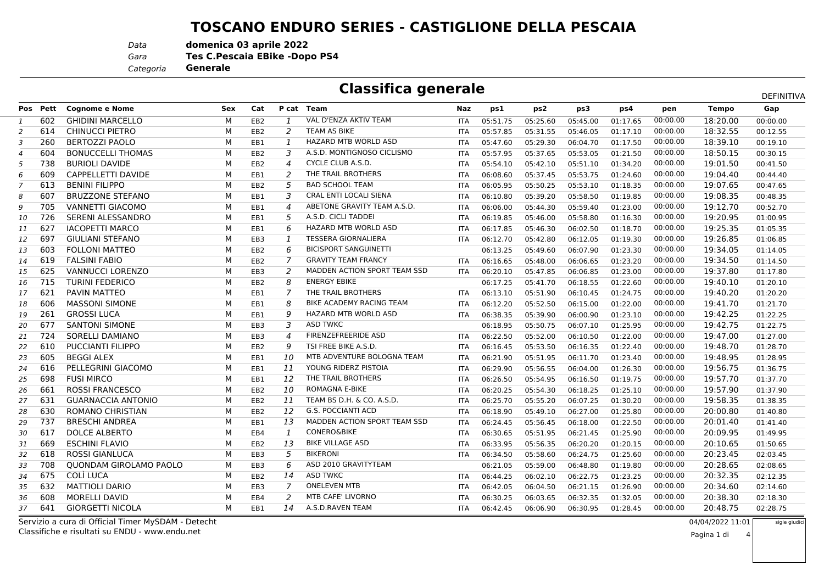## **TOSCANO ENDURO SERIES - CASTIGLIONE DELLA PESCAIA**

*Data***domenica 03 aprile 2022**

*Gara* **Tes C.Pescaia EBike -Dopo PS4**

*Categoria***Generale**

| <b>Classifica generale</b><br>DEFINITIVA |          |                               |     |                 |                          |                                 |            |          |          |          |          |          |              |          |
|------------------------------------------|----------|-------------------------------|-----|-----------------|--------------------------|---------------------------------|------------|----------|----------|----------|----------|----------|--------------|----------|
|                                          | Pos Pett | <b>Cognome e Nome</b>         | Sex | Cat             |                          | P cat Team                      | Naz        | ps1      | ps2      | ps3      | ps4      | pen      | <b>Tempo</b> | Gap      |
| <sup>1</sup>                             | 602      | <b>GHIDINI MARCELLO</b>       | М   | EB <sub>2</sub> | $\mathbf{1}$             | VAL D'ENZA AKTIV TEAM           | <b>ITA</b> | 05:51.75 | 05:25.60 | 05:45.00 | 01:17.65 | 00:00.00 | 18:20.00     | 00:00.00 |
| 2                                        | 614      | CHINUCCI PIETRO               | м   | EB <sub>2</sub> | 2                        | TEAM AS BIKE                    | <b>ITA</b> | 05:57.85 | 05:31.55 | 05:46.05 | 01:17.10 | 00:00.00 | 18:32.55     | 00:12.55 |
| 3                                        | 260      | <b>BERTOZZI PAOLO</b>         | М   | EB1             | $\mathbf{1}$             | <b>HAZARD MTB WORLD ASD</b>     | <b>ITA</b> | 05:47.60 | 05:29.30 | 06:04.70 | 01:17.50 | 00:00.00 | 18:39.10     | 00:19.10 |
| $\overline{4}$                           | 604      | <b>BONUCCELLI THOMAS</b>      | М   | EB <sub>2</sub> | 3                        | A.S.D. MONTIGNOSO CICLISMO      | <b>ITA</b> | 05:57.95 | 05:37.65 | 05:53.05 | 01:21.50 | 00:00.00 | 18:50.15     | 00:30.15 |
| 5                                        | 738      | <b>BURIOLI DAVIDE</b>         | М   | EB <sub>2</sub> | 4                        | CYCLE CLUB A.S.D.               | <b>ITA</b> | 05:54.10 | 05:42.10 | 05:51.10 | 01:34.20 | 00:00.00 | 19:01.50     | 00:41.50 |
| 6                                        | 609      | <b>CAPPELLETTI DAVIDE</b>     | М   | EB1             | 2                        | THE TRAIL BROTHERS              | <b>ITA</b> | 06:08.60 | 05:37.45 | 05:53.75 | 01:24.60 | 00:00.00 | 19:04.40     | 00:44.40 |
| 7                                        | 613      | <b>BENINI FILIPPO</b>         | М   | EB <sub>2</sub> | 5                        | <b>BAD SCHOOL TEAM</b>          | <b>ITA</b> | 06:05.95 | 05:50.25 | 05:53.10 | 01:18.35 | 00:00.00 | 19:07.65     | 00:47.65 |
| 8                                        | 607      | <b>BRUZZONE STEFANO</b>       | м   | EB1             | 3                        | CRAL ENTI LOCALI SIENA          | <b>ITA</b> | 06:10.80 | 05:39.20 | 05:58.50 | 01:19.85 | 00:00.00 | 19:08.35     | 00:48.35 |
| 9                                        | 705      | <b>VANNETTI GIACOMO</b>       | М   | EB1             | $\boldsymbol{\varDelta}$ | ABETONE GRAVITY TEAM A.S.D.     | <b>ITA</b> | 06:06.00 | 05:44.30 | 05:59.40 | 01:23.00 | 00:00.00 | 19:12.70     | 00:52.70 |
| 10                                       | 726      | SERENI ALESSANDRO             | М   | EB1             | 5                        | A.S.D. CICLI TADDEI             | <b>ITA</b> | 06:19.85 | 05:46.00 | 05:58.80 | 01:16.30 | 00:00.00 | 19:20.95     | 01:00.95 |
| 11                                       | 627      | <b>IACOPETTI MARCO</b>        | м   | EB1             | 6                        | <b>HAZARD MTB WORLD ASD</b>     | <b>ITA</b> | 06:17.85 | 05:46.30 | 06:02.50 | 01:18.70 | 00:00.00 | 19:25.35     | 01:05.35 |
| 12                                       | 697      | <b>GIULIANI STEFANO</b>       | М   | EB <sub>3</sub> | $\overline{1}$           | <b>TESSERA GIORNALIERA</b>      | <b>ITA</b> | 06:12.70 | 05:42.80 | 06:12.05 | 01:19.30 | 00:00.00 | 19:26.85     | 01:06.85 |
| 13                                       | 603      | <b>FOLLONI MATTEO</b>         | м   | EB <sub>2</sub> | 6                        | <b>BICISPORT SANGUINETTI</b>    |            | 06:13.25 | 05:49.60 | 06:07.90 | 01:23.30 | 00:00.00 | 19:34.05     | 01:14.05 |
| 14                                       | 619      | <b>FALSINI FABIO</b>          | М   | EB <sub>2</sub> | 7                        | <b>GRAVITY TEAM FRANCY</b>      | <b>ITA</b> | 06:16.65 | 05:48.00 | 06:06.65 | 01:23.20 | 00:00.00 | 19:34.50     | 01:14.50 |
| 15                                       | 625      | <b>VANNUCCI LORENZO</b>       | М   | EB <sub>3</sub> | 2                        | MADDEN ACTION SPORT TEAM SSD    | <b>ITA</b> | 06:20.10 | 05:47.85 | 06:06.85 | 01:23.00 | 00:00.00 | 19:37.80     | 01:17.80 |
| 16                                       | 715      | <b>TURINI FEDERICO</b>        | М   | EB <sub>2</sub> | 8                        | <b>ENERGY EBIKE</b>             |            | 06:17.25 | 05:41.70 | 06:18.55 | 01:22.60 | 00:00.00 | 19:40.10     | 01:20.10 |
| 17                                       | 621      | <b>PAVIN MATTEO</b>           | М   | EB1             | 7                        | THE TRAIL BROTHERS              | <b>ITA</b> | 06:13.10 | 05:51.90 | 06:10.45 | 01:24.75 | 00:00.00 | 19:40.20     | 01:20.20 |
| 18                                       | 606      | <b>MASSONI SIMONE</b>         | М   | EB1             | 8                        | <b>BIKE ACADEMY RACING TEAM</b> | <b>ITA</b> | 06:12.20 | 05:52.50 | 06:15.00 | 01:22.00 | 00:00.00 | 19:41.70     | 01:21.70 |
| 19                                       | 261      | <b>GROSSI LUCA</b>            | М   | EB1             | 9                        | <b>HAZARD MTB WORLD ASD</b>     | ITA        | 06:38.35 | 05:39.90 | 06:00.90 | 01:23.10 | 00:00.00 | 19:42.25     | 01:22.25 |
| 20                                       | 677      | <b>SANTONI SIMONE</b>         | М   | EB <sub>3</sub> | 3                        | <b>ASD TWKC</b>                 |            | 06:18.95 | 05:50.75 | 06:07.10 | 01:25.95 | 00:00.00 | 19:42.75     | 01:22.75 |
| 21                                       | 724      | SORELLI DAMIANO               | М   | EB <sub>3</sub> | 4                        | FIRENZEFREERIDE ASD             | <b>ITA</b> | 06:22.50 | 05:52.00 | 06:10.50 | 01:22.00 | 00:00.00 | 19:47.00     | 01:27.00 |
| 22                                       | 610      | <b>PUCCIANTI FILIPPO</b>      | м   | EB <sub>2</sub> | 9                        | TSI FREE BIKE A.S.D.            | <b>ITA</b> | 06:16.45 | 05:53.50 | 06:16.35 | 01:22.40 | 00:00.00 | 19:48.70     | 01:28.70 |
| 23                                       | 605      | <b>BEGGI ALEX</b>             | М   | EB1             | 10                       | MTB ADVENTURE BOLOGNA TEAM      | <b>ITA</b> | 06:21.90 | 05:51.95 | 06:11.70 | 01:23.40 | 00:00.00 | 19:48.95     | 01:28.95 |
| 24                                       | 616      | PELLEGRINI GIACOMO            | М   | EB1             | 11                       | YOUNG RIDERZ PISTOIA            | <b>ITA</b> | 06:29.90 | 05:56.55 | 06:04.00 | 01:26.30 | 00:00.00 | 19:56.75     | 01:36.75 |
| 25                                       | 698      | <b>FUSI MIRCO</b>             | М   | EB1             | 12                       | THE TRAIL BROTHERS              | <b>ITA</b> | 06:26.50 | 05:54.95 | 06:16.50 | 01:19.75 | 00:00.00 | 19:57.70     | 01:37.70 |
| 26                                       | 661      | <b>ROSSI FRANCESCO</b>        | М   | EB <sub>2</sub> | 10                       | ROMAGNA E-BIKE                  | <b>ITA</b> | 06:20.25 | 05:54.30 | 06:18.25 | 01:25.10 | 00:00.00 | 19:57.90     | 01:37.90 |
| 27                                       | 631      | <b>GUARNACCIA ANTONIO</b>     | М   | EB <sub>2</sub> | 11                       | TEAM BS D.H. & CO. A.S.D.       | <b>ITA</b> | 06:25.70 | 05:55.20 | 06:07.25 | 01:30.20 | 00:00.00 | 19:58.35     | 01:38.35 |
| 28                                       | 630      | <b>ROMANO CHRISTIAN</b>       | М   | EB <sub>2</sub> | 12                       | <b>G.S. POCCIANTI ACD</b>       | <b>ITA</b> | 06:18.90 | 05:49.10 | 06:27.00 | 01:25.80 | 00:00.00 | 20:00.80     | 01:40.80 |
| 29                                       | 737      | <b>BRESCHI ANDREA</b>         | м   | EB1             | 13                       | MADDEN ACTION SPORT TEAM SSD    | <b>ITA</b> | 06:24.45 | 05:56.45 | 06:18.00 | 01:22.50 | 00:00.00 | 20:01.40     | 01:41.40 |
| 30                                       | 617      | DOLCE ALBERTO                 | М   | EB4             | -1                       | <b>CONERO&amp;BIKE</b>          | <b>ITA</b> | 06:30.65 | 05:51.95 | 06:21.45 | 01:25.90 | 00:00.00 | 20:09.95     | 01:49.95 |
| 31                                       | 669      | <b>ESCHINI FLAVIO</b>         | М   | EB <sub>2</sub> | 13                       | <b>BIKE VILLAGE ASD</b>         | <b>ITA</b> | 06:33.95 | 05:56.35 | 06:20.20 | 01:20.15 | 00:00.00 | 20:10.65     | 01:50.65 |
| 32                                       | 618      | ROSSI GIANLUCA                | м   | EB <sub>3</sub> | 5                        | <b>BIKERONI</b>                 | ITA        | 06:34.50 | 05:58.60 | 06:24.75 | 01:25.60 | 00:00.00 | 20:23.45     | 02:03.45 |
| 33                                       | 708      | <b>OUONDAM GIROLAMO PAOLO</b> | М   | EB <sub>3</sub> | 6                        | ASD 2010 GRAVITYTEAM            |            | 06:21.05 | 05:59.00 | 06:48.80 | 01:19.80 | 00:00.00 | 20:28.65     | 02:08.65 |
| 34                                       | 675      | <b>COLÌ LUCA</b>              | м   | EB <sub>2</sub> | 14                       | <b>ASD TWKC</b>                 | <b>ITA</b> | 06:44.25 | 06:02.10 | 06:22.75 | 01:23.25 | 00:00.00 | 20:32.35     | 02:12.35 |
| 35                                       | 632      | <b>MATTIOLI DARIO</b>         | М   | EB <sub>3</sub> | 7                        | <b>ONELEVEN MTB</b>             | <b>ITA</b> | 06:42.05 | 06:04.50 | 06:21.15 | 01:26.90 | 00:00.00 | 20:34.60     | 02:14.60 |
| 36                                       | 608      | <b>MORELLI DAVID</b>          | М   | EB4             | 2                        | <b>MTB CAFE' LIVORNO</b>        | <b>ITA</b> | 06:30.25 | 06:03.65 | 06:32.35 | 01:32.05 | 00:00.00 | 20:38.30     | 02:18.30 |
| 37                                       | 641      | <b>GIORGETTI NICOLA</b>       | М   | EB1             | 14                       | A.S.D.RAVEN TEAM                | ITA        | 06:42.45 | 06:06.90 | 06:30.95 | 01:28.45 | 00:00.00 | 20:48.75     | 02:28.75 |

 Servizio a cura di Official Timer MySDAM - DetechtClassifiche e risultati su ENDU - www.endu.net

04/04/2022 11:01

4

sigle giudici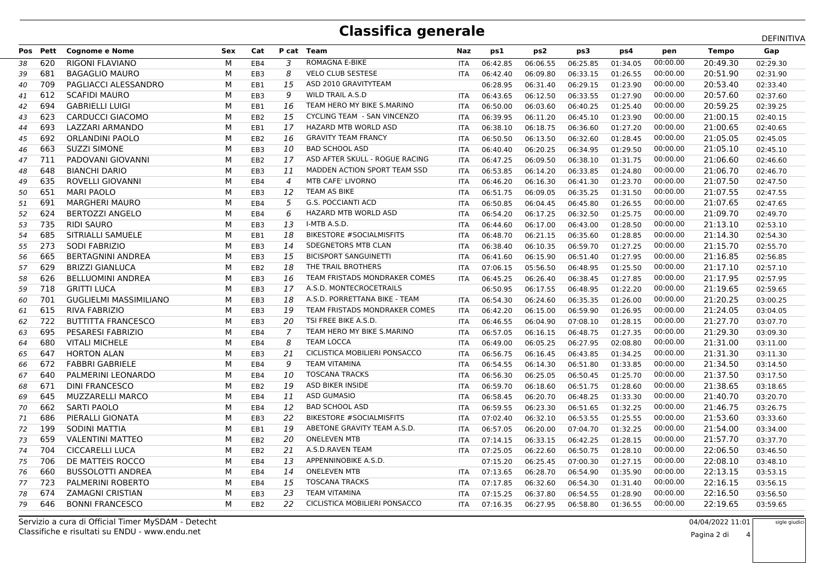## **Classifica generale**

|    |          |                               |     |                 |                |                                    |            |          |          |          | DEFINITIVA |          |              |          |
|----|----------|-------------------------------|-----|-----------------|----------------|------------------------------------|------------|----------|----------|----------|------------|----------|--------------|----------|
|    | Pos Pett | <b>Cognome e Nome</b>         | Sex | Cat             |                | P cat Team                         | Naz        | ps1      | ps2      | ps3      | ps4        | pen      | <b>Tempo</b> | Gap      |
| 38 | 620      | <b>RIGONI FLAVIANO</b>        | м   | EB4             | 3              | <b>ROMAGNA E-BIKE</b>              | <b>ITA</b> | 06:42.85 | 06:06.55 | 06:25.85 | 01:34.05   | 00:00.00 | 20:49.30     | 02:29.30 |
| 39 | 681      | <b>BAGAGLIO MAURO</b>         | м   | EB3             | 8              | <b>VELO CLUB SESTESE</b>           | <b>ITA</b> | 06:42.40 | 06:09.80 | 06:33.15 | 01:26.55   | 00:00.00 | 20:51.90     | 02:31.90 |
| 40 | 709      | PAGLIACCI ALESSANDRO          | M   | EB1             | 15             | ASD 2010 GRAVITYTEAM               |            | 06:28.95 | 06:31.40 | 06:29.15 | 01:23.90   | 00:00.00 | 20:53.40     | 02:33.40 |
| 41 | 612      | <b>SCAFIDI MAURO</b>          | м   | EB <sub>3</sub> | 9              | <b>WILD TRAIL A.S.D</b>            | <b>ITA</b> | 06:43.65 | 06:12.50 | 06:33.55 | 01:27.90   | 00:00.00 | 20:57.60     | 02:37.60 |
| 42 | 694      | <b>GABRIELLI LUIGI</b>        | M   | EB1             | 16             | TEAM HERO MY BIKE S.MARINO         | <b>ITA</b> | 06:50.00 | 06:03.60 | 06:40.25 | 01:25.40   | 00:00.00 | 20:59.25     | 02:39.25 |
| 43 | 623      | CARDUCCI GIACOMO              | м   | EB <sub>2</sub> | 15             | <b>CYCLING TEAM - SAN VINCENZO</b> | <b>ITA</b> | 06:39.95 | 06:11.20 | 06:45.10 | 01:23.90   | 00:00.00 | 21:00.15     | 02:40.15 |
| 44 | 693      | LAZZARI ARMANDO               | м   | EB1             | 17             | HAZARD MTB WORLD ASD               | <b>ITA</b> | 06:38.10 | 06:18.75 | 06:36.60 | 01:27.20   | 00:00.00 | 21:00.65     | 02:40.65 |
| 45 | 692      | <b>ORLANDINI PAOLO</b>        | м   | EB <sub>2</sub> | 16             | <b>GRAVITY TEAM FRANCY</b>         | <b>ITA</b> | 06:50.50 | 06:13.50 | 06:32.60 | 01:28.45   | 00:00.00 | 21:05.05     | 02:45.05 |
| 46 | 663      | <b>SUZZI SIMONE</b>           | м   | EB <sub>3</sub> | 10             | <b>BAD SCHOOL ASD</b>              | <b>ITA</b> | 06:40.40 | 06:20.25 | 06:34.95 | 01:29.50   | 00:00.00 | 21:05.10     | 02:45.10 |
| 47 | 711      | PADOVANI GIOVANNI             | M   | EB <sub>2</sub> | 17             | ASD AFTER SKULL - ROGUE RACING     | <b>ITA</b> | 06:47.25 | 06:09.50 | 06:38.10 | 01:31.75   | 00:00.00 | 21:06.60     | 02:46.60 |
| 48 | 648      | <b>BIANCHI DARIO</b>          | м   | EB <sub>3</sub> | 11             | MADDEN ACTION SPORT TEAM SSD       | <b>ITA</b> | 06:53.85 | 06:14.20 | 06:33.85 | 01:24.80   | 00:00.00 | 21:06.70     | 02:46.70 |
| 49 | 635      | <b>ROVELLI GIOVANNI</b>       | м   | EB4             | $\overline{4}$ | <b>MTB CAFE' LIVORNO</b>           | <b>ITA</b> | 06:46.20 | 06:16.30 | 06:41.30 | 01:23.70   | 00:00.00 | 21:07.50     | 02:47.50 |
| 50 | 651      | <b>MARI PAOLO</b>             | М   | EB3             | 12             | <b>TEAM AS BIKE</b>                | <b>ITA</b> | 06:51.75 | 06:09.05 | 06:35.25 | 01:31.50   | 00:00.00 | 21:07.55     | 02:47.55 |
| 51 | 691      | <b>MARGHERI MAURO</b>         | M   | EB4             | 5              | <b>G.S. POCCIANTI ACD</b>          | <b>ITA</b> | 06:50.85 | 06:04.45 | 06:45.80 | 01:26.55   | 00:00.00 | 21:07.65     | 02:47.65 |
| 52 | 624      | <b>BERTOZZI ANGELO</b>        | м   | EB4             | 6              | HAZARD MTB WORLD ASD               | <b>ITA</b> | 06:54.20 | 06:17.25 | 06:32.50 | 01:25.75   | 00:00.00 | 21:09.70     | 02:49.70 |
| 53 | 735      | <b>RIDI SAURO</b>             | M   | EB <sub>3</sub> | 13             | I-MTB A.S.D.                       | <b>ITA</b> | 06:44.60 | 06:17.00 | 06:43.00 | 01:28.50   | 00:00.00 | 21:13.10     | 02:53.10 |
| 54 | 685      | SITRIALLI SAMUELE             | м   | EB1             | 18             | <b>BIKESTORE #SOCIALMISFITS</b>    | <b>ITA</b> | 06:48.70 | 06:21.15 | 06:35.60 | 01:28.85   | 00:00.00 | 21:14.30     | 02:54.30 |
| 55 | 273      | <b>SODI FABRIZIO</b>          | М   | EB <sub>3</sub> | 14             | SDEGNETORS MTB CLAN                | <b>ITA</b> | 06:38.40 | 06:10.35 | 06:59.70 | 01:27.25   | 00:00.00 | 21:15.70     | 02:55.70 |
| 56 | 665      | <b>BERTAGNINI ANDREA</b>      | M   | EB <sub>3</sub> | 15             | <b>BICISPORT SANGUINETTI</b>       | <b>ITA</b> | 06:41.60 | 06:15.90 | 06:51.40 | 01:27.95   | 00:00.00 | 21:16.85     | 02:56.85 |
| 57 | 629      | <b>BRIZZI GIANLUCA</b>        | м   | EB <sub>2</sub> | 18             | THE TRAIL BROTHERS                 | <b>ITA</b> | 07:06.15 | 05:56.50 | 06:48.95 | 01:25.50   | 00:00.00 | 21:17.10     | 02:57.10 |
| 58 | 626      | <b>BELLUOMINI ANDREA</b>      | м   | EB3             | 16             | TEAM FRISTADS MONDRAKER COMES      | <b>ITA</b> | 06:45.25 | 06:26.40 | 06:38.45 | 01:27.85   | 00:00.00 | 21:17.95     | 02:57.95 |
| 59 | 718      | <b>GRITTI LUCA</b>            | м   | EB <sub>3</sub> | 17             | A.S.D. MONTECROCETRAILS            |            | 06:50.95 | 06:17.55 | 06:48.95 | 01:22.20   | 00:00.00 | 21:19.65     | 02:59.65 |
| 60 | 701      | <b>GUGLIELMI MASSIMILIANO</b> | м   | EB <sub>3</sub> | 18             | A.S.D. PORRETTANA BIKE - TEAM      | <b>ITA</b> | 06:54.30 | 06:24.60 | 06:35.35 | 01:26.00   | 00:00.00 | 21:20.25     | 03:00.25 |
| 61 | 615      | <b>RIVA FABRIZIO</b>          | M   | EB <sub>3</sub> | 19             | TEAM FRISTADS MONDRAKER COMES      | <b>ITA</b> | 06:42.20 | 06:15.00 | 06:59.90 | 01:26.95   | 00:00.00 | 21:24.05     | 03:04.05 |
| 62 | 722      | <b>BUTTITTA FRANCESCO</b>     | м   | EB <sub>3</sub> | 20             | TSI FREE BIKE A.S.D.               | <b>ITA</b> | 06:46.55 | 06:04.90 | 07:08.10 | 01:28.15   | 00:00.00 | 21:27.70     | 03:07.70 |
| 63 | 695      | PESARESI FABRIZIO             | м   | EB4             | 7              | TEAM HERO MY BIKE S.MARINO         | <b>ITA</b> | 06:57.05 | 06:16.15 | 06:48.75 | 01:27.35   | 00:00.00 | 21:29.30     | 03:09.30 |
| 64 | 680      | <b>VITALI MICHELE</b>         | M   | EB4             | 8              | <b>TEAM LOCCA</b>                  | <b>ITA</b> | 06:49.00 | 06:05.25 | 06:27.95 | 02:08.80   | 00:00.00 | 21:31.00     | 03:11.00 |
| 65 | 647      | <b>HORTON ALAN</b>            | м   | EB <sub>3</sub> | 21             | CICLISTICA MOBILIERI PONSACCO      | <b>ITA</b> | 06:56.75 | 06:16.45 | 06:43.85 | 01:34.25   | 00:00.00 | 21:31.30     | 03:11.30 |
| 66 | 672      | <b>FABBRI GABRIELE</b>        | М   | EB4             | 9              | <b>TEAM VITAMINA</b>               | <b>ITA</b> | 06:54.55 | 06:14.30 | 06:51.80 | 01:33.85   | 00:00.00 | 21:34.50     | 03:14.50 |
| 67 | 640      | PALMERINI LEONARDO            | M   | EB4             | 10             | <b>TOSCANA TRACKS</b>              | <b>ITA</b> | 06:56.30 | 06:25.05 | 06:50.45 | 01:25.70   | 00:00.00 | 21:37.50     | 03:17.50 |
| 68 | 671      | <b>DINI FRANCESCO</b>         | м   | EB <sub>2</sub> | 19             | ASD BIKER INSIDE                   | <b>ITA</b> | 06:59.70 | 06:18.60 | 06:51.75 | 01:28.60   | 00:00.00 | 21:38.65     | 03:18.65 |
| 69 | 645      | <b>MUZZARELLI MARCO</b>       | М   | EB4             | 11             | <b>ASD GUMASIO</b>                 | <b>ITA</b> | 06:58.45 | 06:20.70 | 06:48.25 | 01:33.30   | 00:00.00 | 21:40.70     | 03:20.70 |
| 70 | 662      | <b>SARTI PAOLO</b>            | м   | EB4             | 12             | <b>BAD SCHOOL ASD</b>              | <b>ITA</b> | 06:59.55 | 06:23.30 | 06:51.65 | 01:32.25   | 00:00.00 | 21:46.75     | 03:26.75 |
| 71 | 686      | PIERALLI GIONATA              | м   | EB <sub>3</sub> | 22             | <b>BIKESTORE #SOCIALMISFITS</b>    | <b>ITA</b> | 07:02.40 | 06:32.10 | 06:53.55 | 01:25.55   | 00:00.00 | 21:53.60     | 03:33.60 |
| 72 | 199      | <b>SODINI MATTIA</b>          | м   | EB1             | 19             | ABETONE GRAVITY TEAM A.S.D.        | <b>ITA</b> | 06:57.05 | 06:20.00 | 07:04.70 | 01:32.25   | 00:00.00 | 21:54.00     | 03:34.00 |
| 73 | 659      | <b>VALENTINI MATTEO</b>       | м   | EB <sub>2</sub> | 20             | <b>ONELEVEN MTB</b>                | <b>ITA</b> | 07:14.15 | 06:33.15 | 06:42.25 | 01:28.15   | 00:00.00 | 21:57.70     | 03:37.70 |
| 74 | 704      | <b>CICCARELLI LUCA</b>        | M   | EB <sub>2</sub> | 21             | A.S.D.RAVEN TEAM                   | ITA        | 07:25.05 | 06:22.60 | 06:50.75 | 01:28.10   | 00:00.00 | 22:06.50     | 03:46.50 |
| 75 | 706      | DE MATTEIS ROCCO              | M   | EB4             | 13             | APPENNINOBIKE A.S.D.               |            | 07:15.20 | 06:25.45 | 07:00.30 | 01:27.15   | 00:00.00 | 22:08.10     | 03:48.10 |
| 76 | 660      | <b>BUSSOLOTTI ANDREA</b>      | м   | EB4             | 14             | <b>ONELEVEN MTB</b>                | <b>ITA</b> | 07:13.65 | 06:28.70 | 06:54.90 | 01:35.90   | 00:00.00 | 22:13.15     | 03:53.15 |
| 77 | 723      | <b>PALMERINI ROBERTO</b>      | м   | EB4             | 15             | <b>TOSCANA TRACKS</b>              | <b>ITA</b> | 07:17.85 | 06:32.60 | 06:54.30 | 01:31.40   | 00:00.00 | 22:16.15     | 03:56.15 |
| 78 | 674      | <b>ZAMAGNI CRISTIAN</b>       | M   | EB <sub>3</sub> | 23             | <b>TEAM VITAMINA</b>               | <b>ITA</b> | 07:15.25 | 06:37.80 | 06:54.55 | 01:28.90   | 00:00.00 | 22:16.50     | 03:56.50 |
| 79 | 646      | <b>BONNI FRANCESCO</b>        | м   | EB <sub>2</sub> | 22             | CICLISTICA MOBILIERI PONSACCO      | <b>ITA</b> | 07:16.35 | 06:27.95 | 06:58.80 | 01:36.55   | 00:00.00 | 22:19.65     | 03:59.65 |
|    |          |                               |     |                 |                |                                    |            |          |          |          |            |          |              |          |

Classifiche e risultati su ENDU - www.endu.netServizio a cura di Official Timer MySDAM - Detecht

 04/04/2022 11:01sigle giudici

4

Pagina 2 di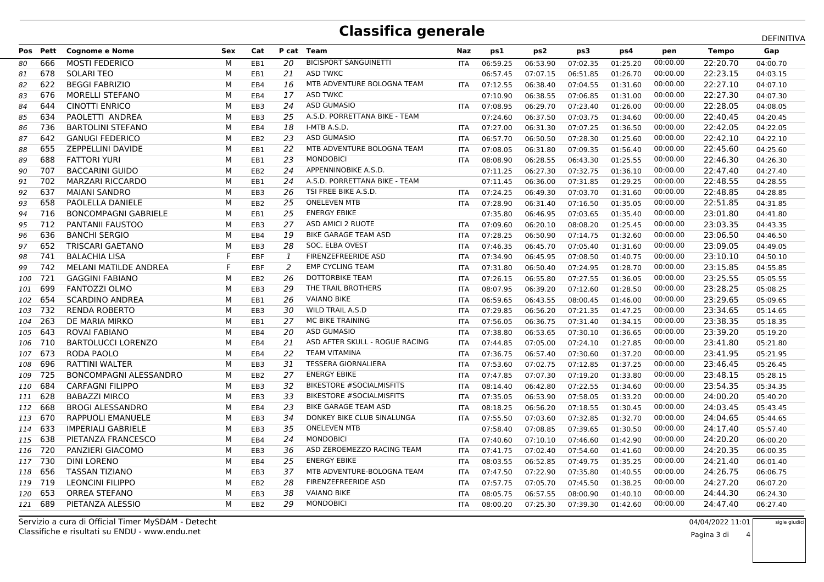## **Classifica generale**

|     |          |                               |            |                 |                |                                 |            |          |          | DEFINITIVA |          |          |              |          |
|-----|----------|-------------------------------|------------|-----------------|----------------|---------------------------------|------------|----------|----------|------------|----------|----------|--------------|----------|
|     | Pos Pett | <b>Cognome e Nome</b>         | <b>Sex</b> | Cat             |                | P cat Team                      | Naz        | ps1      | ps2      | ps3        | ps4      | pen      | <b>Tempo</b> | Gap      |
| 80  | 666      | <b>MOSTI FEDERICO</b>         | м          | EB1             | 20             | <b>BICISPORT SANGUINETTI</b>    | <b>ITA</b> | 06:59.25 | 06:53.90 | 07:02.35   | 01:25.20 | 00:00.00 | 22:20.70     | 04:00.70 |
| 81  | 678      | <b>SOLARI TEO</b>             | M          | EB1             | 21             | <b>ASD TWKC</b>                 |            | 06:57.45 | 07:07.15 | 06:51.85   | 01:26.70 | 00:00.00 | 22:23.15     | 04:03.15 |
| 82  | 622      | <b>BEGGI FABRIZIO</b>         | м          | EB4             | 16             | MTB ADVENTURE BOLOGNA TEAM      | ITA        | 07:12.55 | 06:38.40 | 07:04.55   | 01:31.60 | 00:00.00 | 22:27.10     | 04:07.10 |
| 83  | 676      | <b>MORELLI STEFANO</b>        | м          | EB4             | 17             | <b>ASD TWKC</b>                 |            | 07:10.90 | 06:38.55 | 07:06.85   | 01:31.00 | 00:00.00 | 22:27.30     | 04:07.30 |
| 84  | 644      | <b>CINOTTI ENRICO</b>         | M          | EB <sub>3</sub> | 24             | <b>ASD GUMASIO</b>              | ITA        | 07:08.95 | 06:29.70 | 07:23.40   | 01:26.00 | 00:00.00 | 22:28.05     | 04:08.05 |
| 85  | 634      | PAOLETTI ANDREA               | M          | EB <sub>3</sub> | 25             | A.S.D. PORRETTANA BIKE - TEAM   |            | 07:24.60 | 06:37.50 | 07:03.75   | 01:34.60 | 00:00.00 | 22:40.45     | 04:20.45 |
| 86  | 736      | <b>BARTOLINI STEFANO</b>      | М          | EB4             | 18             | I-MTB A.S.D.                    | <b>ITA</b> | 07:27.00 | 06:31.30 | 07:07.25   | 01:36.50 | 00:00.00 | 22:42.05     | 04:22.05 |
| 87  | 642      | <b>GANUGI FEDERICO</b>        | М          | EB <sub>2</sub> | 23             | ASD GUMASIO                     | ITA        | 06:57.70 | 06:50.50 | 07:28.30   | 01:25.60 | 00:00.00 | 22:42.10     | 04:22.10 |
| 88  | 655      | ZEPPELLINI DAVIDE             | м          | EB1             | 22             | MTB ADVENTURE BOLOGNA TEAM      | <b>ITA</b> | 07:08.05 | 06:31.80 | 07:09.35   | 01:56.40 | 00:00.00 | 22:45.60     | 04:25.60 |
| 89  | 688      | <b>FATTORI YURI</b>           | М          | EB1             | 23             | <b>MONDOBICI</b>                | <b>ITA</b> | 08:08.90 | 06:28.55 | 06:43.30   | 01:25.55 | 00:00.00 | 22:46.30     | 04:26.30 |
| 90  | 707      | <b>BACCARINI GUIDO</b>        | М          | EB <sub>2</sub> | 24             | APPENNINOBIKE A.S.D.            |            | 07:11.25 | 06:27.30 | 07:32.75   | 01:36.10 | 00:00.00 | 22:47.40     | 04:27.40 |
| 91  | 702      | <b>MARZARI RICCARDO</b>       | м          | EB1             | 24             | A.S.D. PORRETTANA BIKE - TEAM   |            | 07:11.45 | 06:36.00 | 07:31.85   | 01:29.25 | 00:00.00 | 22:48.55     | 04:28.55 |
| 92  | 637      | <b>MAIANI SANDRO</b>          | М          | EB <sub>3</sub> | 26             | TSI FREE BIKE A.S.D.            | ITA        | 07:24.25 | 06:49.30 | 07:03.70   | 01:31.60 | 00:00.00 | 22:48.85     | 04:28.85 |
| 93  | 658      | PAOLELLA DANIELE              | м          | EB <sub>2</sub> | 25             | <b>ONELEVEN MTB</b>             | <b>ITA</b> | 07:28.90 | 06:31.40 | 07:16.50   | 01:35.05 | 00:00.00 | 22:51.85     | 04:31.85 |
| 94  | 716      | <b>BONCOMPAGNI GABRIELE</b>   | М          | EB1             | 25             | <b>ENERGY EBIKE</b>             |            | 07:35.80 | 06:46.95 | 07:03.65   | 01:35.40 | 00:00.00 | 23:01.80     | 04:41.80 |
| 95  | 712      | <b>PANTANII FAUSTOO</b>       | М          | EB <sub>3</sub> | 27             | ASD AMICI 2 RUOTE               | ITA        | 07:09.60 | 06:20.10 | 08:08.20   | 01:25.45 | 00:00.00 | 23:03.35     | 04:43.35 |
| 96  | 636      | <b>BANCHI SERGIO</b>          | М          | EB4             | 19             | <b>BIKE GARAGE TEAM ASD</b>     | <b>ITA</b> | 07:28.25 | 06:50.90 | 07:14.75   | 01:32.60 | 00:00.00 | 23:06.50     | 04:46.50 |
| 97  | 652      | <b>TRISCARI GAETANO</b>       | М          | EB <sub>3</sub> | 28             | SOC. ELBA OVEST                 | ITA        | 07:46.35 | 06:45.70 | 07:05.40   | 01:31.60 | 00:00.00 | 23:09.05     | 04:49.05 |
| 98  | 741      | <b>BALACHIA LISA</b>          |            | EBF             | 1              | FIRENZEFREERIDE ASD             | <b>ITA</b> | 07:34.90 | 06:45.95 | 07:08.50   | 01:40.75 | 00:00.00 | 23:10.10     | 04:50.10 |
| 99  | 742      | MELANI MATILDE ANDREA         |            | EBF             | $\overline{2}$ | <b>EMP CYCLING TEAM</b>         | ITA        | 07:31.80 | 06:50.40 | 07:24.95   | 01:28.70 | 00:00.00 | 23:15.85     | 04:55.85 |
| 100 | 721      | <b>GAGGINI FABIANO</b>        | М          | EB <sub>2</sub> | 26             | DOTTORBIKE TEAM                 | ITA        | 07:26.15 | 06:55.80 | 07:27.55   | 01:36.05 | 00:00.00 | 23:25.55     | 05:05.55 |
| 101 | 699      | <b>FANTOZZI OLMO</b>          | м          | EB <sub>3</sub> | 29             | THE TRAIL BROTHERS              | <b>ITA</b> | 08:07.95 | 06:39.20 | 07:12.60   | 01:28.50 | 00:00.00 | 23:28.25     | 05:08.25 |
| 102 | 654      | <b>SCARDINO ANDREA</b>        | М          | EB1             | 26             | <b>VAIANO BIKE</b>              | <b>ITA</b> | 06:59.65 | 06:43.55 | 08:00.45   | 01:46.00 | 00:00.00 | 23:29.65     | 05:09.65 |
| 103 | -732     | <b>RENDA ROBERTO</b>          | М          | EB <sub>3</sub> | 30             | <b>WILD TRAIL A.S.D</b>         | ITA        | 07:29.85 | 06:56.20 | 07:21.35   | 01:47.25 | 00:00.00 | 23:34.65     | 05:14.65 |
| 104 | -263     | DE MARIA MIRKO                | М          | EB1             | 27             | MC BIKE TRAINING                | <b>ITA</b> | 07:56.05 | 06:36.75 | 07:31.40   | 01:34.15 | 00:00.00 | 23:38.35     | 05:18.35 |
| 105 | -643     | <b>ROVAI FABIANO</b>          | М          | EB4             | 20             | <b>ASD GUMASIO</b>              | ITA        | 07:38.80 | 06:53.65 | 07:30.10   | 01:36.65 | 00:00.00 | 23:39.20     | 05:19.20 |
| 106 | 710      | <b>BARTOLUCCI LORENZO</b>     | М          | EB4             | 21             | ASD AFTER SKULL - ROGUE RACING  | <b>ITA</b> | 07:44.85 | 07:05.00 | 07:24.10   | 01:27.85 | 00:00.00 | 23:41.80     | 05:21.80 |
| 107 | 673      | RODA PAOLO                    | M          | EB4             | 22             | <b>TEAM VITAMINA</b>            | ITA        | 07:36.75 | 06:57.40 | 07:30.60   | 01:37.20 | 00:00.00 | 23:41.95     | 05:21.95 |
| 108 | 696      | RATTINI WALTER                | м          | EB <sub>3</sub> | 31             | <b>TESSERA GIORNALIERA</b>      | <b>ITA</b> | 07:53.60 | 07:02.75 | 07:12.85   | 01:37.25 | 00:00.00 | 23:46.45     | 05:26.45 |
| 109 | -725     | <b>BONCOMPAGNI ALESSANDRO</b> | м          | EB <sub>2</sub> | 27             | <b>ENERGY EBIKE</b>             | <b>ITA</b> | 07:47.85 | 07:07.30 | 07:19.20   | 01:33.80 | 00:00.00 | 23:48.15     | 05:28.15 |
| 110 | 684      | <b>CARFAGNI FILIPPO</b>       | M          | EB <sub>3</sub> | 32             | <b>BIKESTORE #SOCIALMISFITS</b> | <b>ITA</b> | 08:14.40 | 06:42.80 | 07:22.55   | 01:34.60 | 00:00.00 | 23:54.35     | 05:34.35 |
| 111 | 628      | <b>BABAZZI MIRCO</b>          | М          | EB <sub>3</sub> | 33             | <b>BIKESTORE #SOCIALMISFITS</b> | <b>ITA</b> | 07:35.05 | 06:53.90 | 07:58.05   | 01:33.20 | 00:00.00 | 24:00.20     | 05:40.20 |
|     | 112 668  | <b>BROGI ALESSANDRO</b>       | М          | EB4             | 23             | <b>BIKE GARAGE TEAM ASD</b>     | ITA        | 08:18.25 | 06:56.20 | 07:18.55   | 01:30.45 | 00:00.00 | 24:03.45     | 05:43.45 |
|     | 113 670  | <b>RAPPUOLI EMANUELE</b>      | м          | EB <sub>3</sub> | 34             | DONKEY BIKE CLUB SINALUNGA      | ITA        | 07:55.50 | 07:03.60 | 07:32.85   | 01:32.70 | 00:00.00 | 24:04.65     | 05:44.65 |
|     | 114 633  | <b>IMPERIALI GABRIELE</b>     | м          | EB <sub>3</sub> | 35             | <b>ONELEVEN MTB</b>             |            | 07:58.40 | 07:08.85 | 07:39.65   | 01:30.50 | 00:00.00 | 24:17.40     | 05:57.40 |
|     | 115 638  | PIETANZA FRANCESCO            | М          | EB4             | 24             | <b>MONDOBICI</b>                | ITA        | 07:40.60 | 07:10.10 | 07:46.60   | 01:42.90 | 00:00.00 | 24:20.20     | 06:00.20 |
| 116 | -720     | PANZIERI GIACOMO              | м          | EB3             | 36             | ASD ZEROEMEZZO RACING TEAM      | ITA        | 07:41.75 | 07:02.40 | 07:54.60   | 01:41.60 | 00:00.00 | 24:20.35     | 06:00.35 |
| 117 | 730      | <b>DINI LORENO</b>            | м          | EB4             | 25             | <b>ENERGY EBIKE</b>             | <b>ITA</b> | 08:03.55 | 06:52.85 | 07:49.75   | 01:35.25 | 00:00.00 | 24:21.40     | 06:01.40 |
| 118 | 656      | <b>TASSAN TIZIANO</b>         | м          | EB <sub>3</sub> | 37             | MTB ADVENTURE-BOLOGNA TEAM      | <b>ITA</b> | 07:47.50 | 07:22.90 | 07:35.80   | 01:40.55 | 00:00.00 | 24:26.75     | 06:06.75 |
| 119 | 719      | <b>LEONCINI FILIPPO</b>       | М          | EB <sub>2</sub> | 28             | FIRENZEFREERIDE ASD             | <b>ITA</b> | 07:57.75 | 07:05.70 | 07:45.50   | 01:38.25 | 00:00.00 | 24:27.20     | 06:07.20 |
| 120 | 653      | <b>ORREA STEFANO</b>          | м          | EB <sub>3</sub> | 38             | <b>VAIANO BIKE</b>              | <b>ITA</b> | 08:05.75 | 06:57.55 | 08:00.90   | 01:40.10 | 00:00.00 | 24:44.30     | 06:24.30 |
|     | 121 689  | PIETANZA ALESSIO              | м          | EB <sub>2</sub> | 29             | <b>MONDOBICI</b>                | <b>ITA</b> | 08:00.20 | 07:25.30 | 07:39.30   | 01:42.60 | 00:00.00 | 24:47.40     | 06:27.40 |
|     |          |                               |            |                 |                |                                 |            |          |          |            |          |          |              |          |

Classifiche e risultati su ENDU - www.endu.netServizio a cura di Official Timer MySDAM - Detecht

 04/04/2022 11:01sigle giudici

4

Pagina 3 di